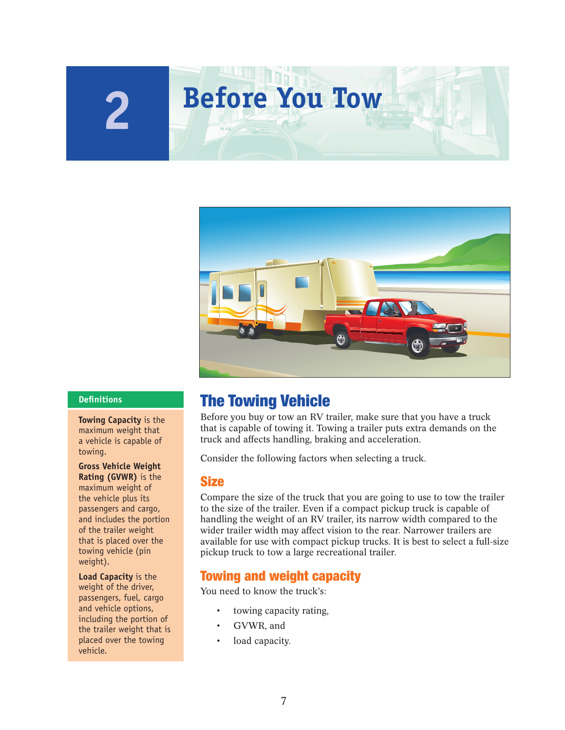# **2 Before You Tow**



**Towing Capacity** is the maximum weight that a vehicle is capable of towing.

**Gross Vehicle Weight Rating (GVWR)** is the maximum weight of the vehicle plus its passengers and cargo, and includes the portion of the trailer weight that is placed over the towing vehicle (pin weight).

**Load Capacity** is the weight of the driver, passengers, fuel, cargo and vehicle options, including the portion of the trailer weight that is placed over the towing vehicle.

# **Definitions <b>The Towing Vehicle**

Before you buy or tow an RV trailer, make sure that you have a truck that is capable of towing it. Towing a trailer puts extra demands on the truck and affects handling, braking and acceleration.

Consider the following factors when selecting a truck.

#### **Size**

Compare the size of the truck that you are going to use to tow the trailer to the size of the trailer. Even if a compact pickup truck is capable of handling the weight of an RV trailer, its narrow width compared to the wider trailer width may affect vision to the rear. Narrower trailers are available for use with compact pickup trucks. It is best to select a full-size pickup truck to tow a large recreational trailer.

#### **Towing and weight capacity**

You need to know the truck's:

- towing capacity rating,
- GVWR, and
- load capacity.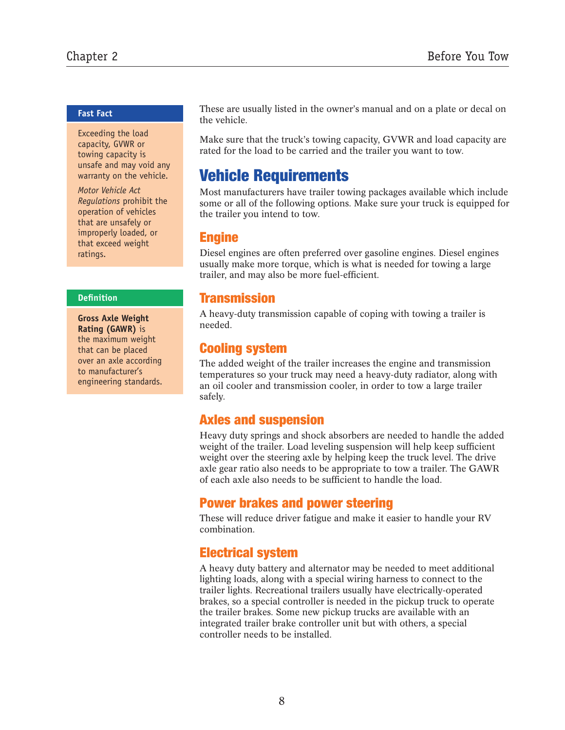#### **Fast Fact**

Exceeding the load capacity, GVWR or towing capacity is unsafe and may void any warranty on the vehicle.

*Motor Vehicle Act Regulations* prohibit the operation of vehicles that are unsafely or improperly loaded, or that exceed weight ratings.

#### **Defi nition**

**Gross Axle Weight Rating (GAWR)** is the maximum weight that can be placed over an axle according to manufacturer's engineering standards. These are usually listed in the owner's manual and on a plate or decal on the vehicle.

Make sure that the truck's towing capacity, GVWR and load capacity are rated for the load to be carried and the trailer you want to tow.

# **Vehicle Requirements**

Most manufacturers have trailer towing packages available which include some or all of the following options. Make sure your truck is equipped for the trailer you intend to tow.

#### **Engine**

Diesel engines are often preferred over gasoline engines. Diesel engines usually make more torque, which is what is needed for towing a large trailer, and may also be more fuel-efficient.

## **Transmission**

A heavy-duty transmission capable of coping with towing a trailer is needed.

# **Cooling system**

The added weight of the trailer increases the engine and transmission temperatures so your truck may need a heavy-duty radiator, along with an oil cooler and transmission cooler, in order to tow a large trailer safely.

# **Axles and suspension**

Heavy duty springs and shock absorbers are needed to handle the added weight of the trailer. Load leveling suspension will help keep sufficient weight over the steering axle by helping keep the truck level. The drive axle gear ratio also needs to be appropriate to tow a trailer. The GAWR of each axle also needs to be sufficient to handle the load.

# **Power brakes and power steering**

These will reduce driver fatigue and make it easier to handle your RV combination.

# **Electrical system**

A heavy duty battery and alternator may be needed to meet additional lighting loads, along with a special wiring harness to connect to the trailer lights. Recreational trailers usually have electrically-operated brakes, so a special controller is needed in the pickup truck to operate the trailer brakes. Some new pickup trucks are available with an integrated trailer brake controller unit but with others, a special controller needs to be installed.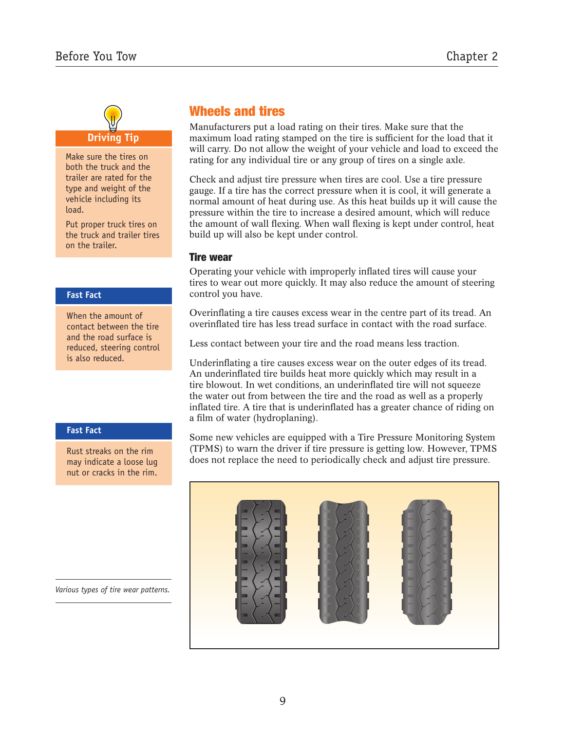# **Driving Tip**

Make sure the tires on both the truck and the trailer are rated for the type and weight of the vehicle including its load.

Put proper truck tires on the truck and trailer tires on the trailer.

#### **Fast Fact**

When the amount of contact between the tire and the road surface is reduced, steering control is also reduced.

#### **Fast Fact**

Rust streaks on the rim may indicate a loose lug nut or cracks in the rim.

*Various types of tire wear patterns.*

# **Wheels and tires**

Manufacturers put a load rating on their tires. Make sure that the maximum load rating stamped on the tire is sufficient for the load that it will carry. Do not allow the weight of your vehicle and load to exceed the rating for any individual tire or any group of tires on a single axle.

Check and adjust tire pressure when tires are cool. Use a tire pressure gauge. If a tire has the correct pressure when it is cool, it will generate a normal amount of heat during use. As this heat builds up it will cause the pressure within the tire to increase a desired amount, which will reduce the amount of wall flexing. When wall flexing is kept under control, heat build up will also be kept under control.

#### **Tire wear**

Operating your vehicle with improperly inflated tires will cause your tires to wear out more quickly. It may also reduce the amount of steering control you have.

Overinflating a tire causes excess wear in the centre part of its tread. An overinfl ated tire has less tread surface in contact with the road surface.

Less contact between your tire and the road means less traction.

Underinflating a tire causes excess wear on the outer edges of its tread. An underinflated tire builds heat more quickly which may result in a tire blowout. In wet conditions, an underinflated tire will not squeeze the water out from between the tire and the road as well as a properly inflated tire. A tire that is under inflated has a greater chance of riding on a film of water (hydroplaning).

Some new vehicles are equipped with a Tire Pressure Monitoring System (TPMS) to warn the driver if tire pressure is getting low. However, TPMS does not replace the need to periodically check and adjust tire pressure.

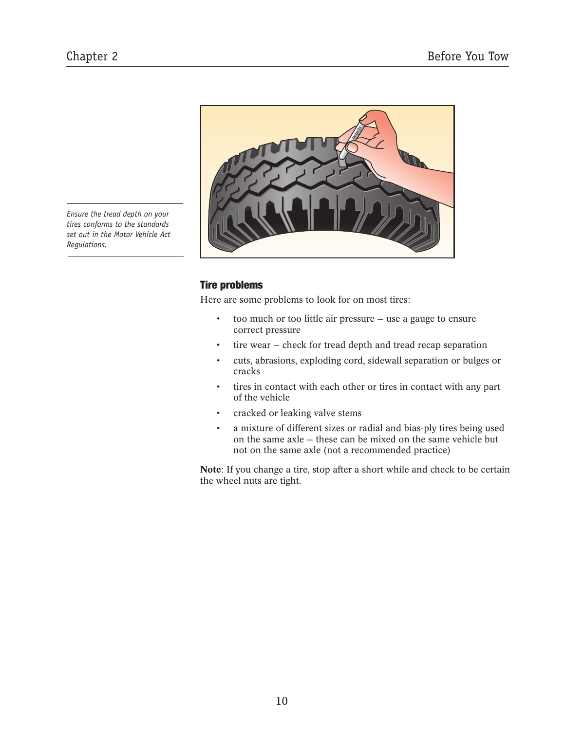*Ensure the tread depth on your tires conforms to the standards set out in the Motor Vehicle Act Regulations.*



#### **Tire problems**

Here are some problems to look for on most tires:

- too much or too little air pressure use a gauge to ensure correct pressure
- tire wear check for tread depth and tread recap separation
- cuts, abrasions, exploding cord, sidewall separation or bulges or cracks
- tires in contact with each other or tires in contact with any part of the vehicle
- cracked or leaking valve stems
- a mixture of different sizes or radial and bias-ply tires being used on the same axle — these can be mixed on the same vehicle but not on the same axle (not a recommended practice)

**Note**: If you change a tire, stop after a short while and check to be certain the wheel nuts are tight.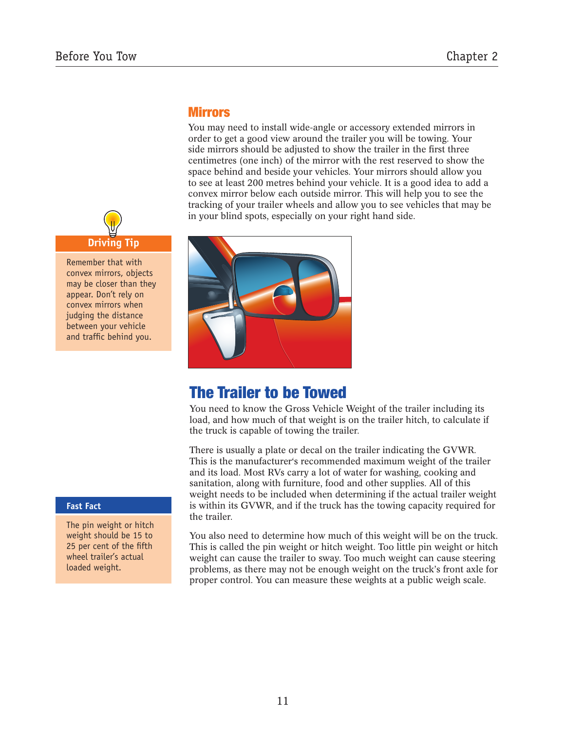

Remember that with convex mirrors, objects may be closer than they appear. Don't rely on convex mirrors when judging the distance between your vehicle and traffic behind you.

## **Mirrors**

You may need to install wide-angle or accessory extended mirrors in order to get a good view around the trailer you will be towing. Your side mirrors should be adjusted to show the trailer in the first three centimetres (one inch) of the mirror with the rest reserved to show the space behind and beside your vehicles. Your mirrors should allow you to see at least 200 metres behind your vehicle. It is a good idea to add a convex mirror below each outside mirror. This will help you to see the tracking of your trailer wheels and allow you to see vehicles that may be in your blind spots, especially on your right hand side.



# **The Trailer to be Towed**

You need to know the Gross Vehicle Weight of the trailer including its load, and how much of that weight is on the trailer hitch, to calculate if the truck is capable of towing the trailer.

There is usually a plate or decal on the trailer indicating the GVWR. This is the manufacturer's recommended maximum weight of the trailer and its load. Most RVs carry a lot of water for washing, cooking and sanitation, along with furniture, food and other supplies. All of this weight needs to be included when determining if the actual trailer weight is within its GVWR, and if the truck has the towing capacity required for the trailer.

You also need to determine how much of this weight will be on the truck. This is called the pin weight or hitch weight. Too little pin weight or hitch weight can cause the trailer to sway. Too much weight can cause steering problems, as there may not be enough weight on the truck's front axle for proper control. You can measure these weights at a public weigh scale.

#### **Fast Fact**

The pin weight or hitch weight should be 15 to 25 per cent of the fifth wheel trailer's actual loaded weight.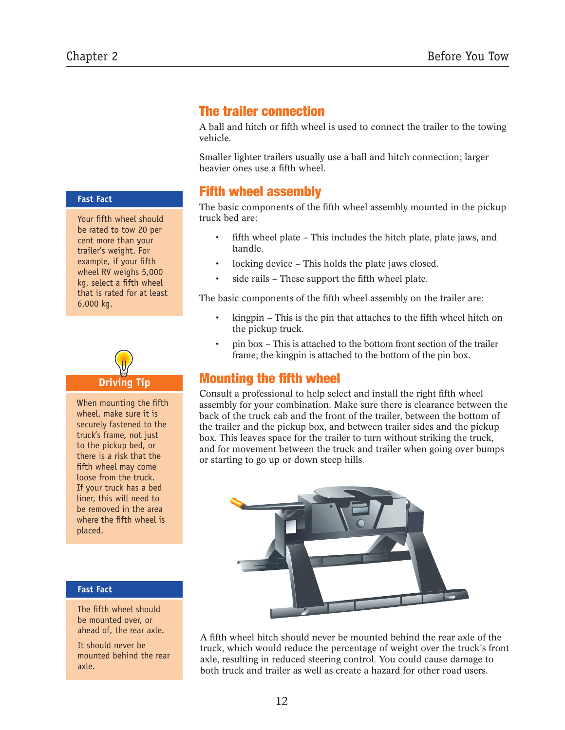**Fast Fact**

Your fifth wheel should be rated to tow 20 per cent more than your trailer's weight. For example, if your fifth wheel RV weighs 5,000 kg, select a fifth wheel that is rated for at least 6,000 kg.

# **Driving Tip**

When mounting the fifth wheel, make sure it is securely fastened to the truck's frame, not just to the pickup bed, or there is a risk that the fifth wheel may come loose from the truck. If your truck has a bed liner, this will need to be removed in the area where the fifth wheel is placed.

#### **Fast Fact**

The fifth wheel should be mounted over, or ahead of, the rear axle.

It should never be mounted behind the rear axle.

# **The trailer connection**

A ball and hitch or fifth wheel is used to connect the trailer to the towing vehicle.

Smaller lighter trailers usually use a ball and hitch connection; larger heavier ones use a fifth wheel.

# **Fifth wheel assembly**

The basic components of the fifth wheel assembly mounted in the pickup truck bed are:

- fifth wheel plate This includes the hitch plate, plate jaws, and handle.
- locking device This holds the plate jaws closed.
- side rails These support the fifth wheel plate.

The basic components of the fifth wheel assembly on the trailer are:

- kingpin This is the pin that attaches to the fifth wheel hitch on the pickup truck.
- pin box This is attached to the bottom front section of the trailer frame; the kingpin is attached to the bottom of the pin box.

# **Mounting the fifth wheel**

Consult a professional to help select and install the right fifth wheel assembly for your combination. Make sure there is clearance between the back of the truck cab and the front of the trailer, between the bottom of the trailer and the pickup box, and between trailer sides and the pickup box. This leaves space for the trailer to turn without striking the truck, and for movement between the truck and trailer when going over bumps or starting to go up or down steep hills.



A fifth wheel hitch should never be mounted behind the rear axle of the truck, which would reduce the percentage of weight over the truck's front axle, resulting in reduced steering control. You could cause damage to both truck and trailer as well as create a hazard for other road users.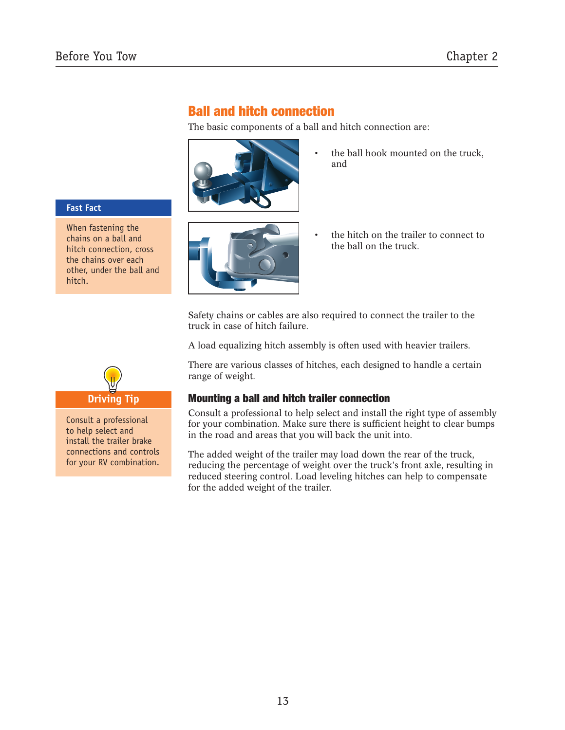# **Ball and hitch connection**

The basic components of a ball and hitch connection are:



the ball hook mounted on the truck, and

#### **Fast Fact**

When fastening the chains on a ball and hitch connection, cross the chains over each other, under the ball and hitch.



the hitch on the trailer to connect to the ball on the truck.

Safety chains or cables are also required to connect the trailer to the truck in case of hitch failure.

A load equalizing hitch assembly is often used with heavier trailers.

There are various classes of hitches, each designed to handle a certain range of weight.

#### **Mounting a ball and hitch trailer connection**

Consult a professional to help select and install the right type of assembly for your combination. Make sure there is sufficient height to clear bumps in the road and areas that you will back the unit into.

The added weight of the trailer may load down the rear of the truck, reducing the percentage of weight over the truck's front axle, resulting in reduced steering control. Load leveling hitches can help to compensate for the added weight of the trailer.



Consult a professional to help select and install the trailer brake connections and controls for your RV combination.